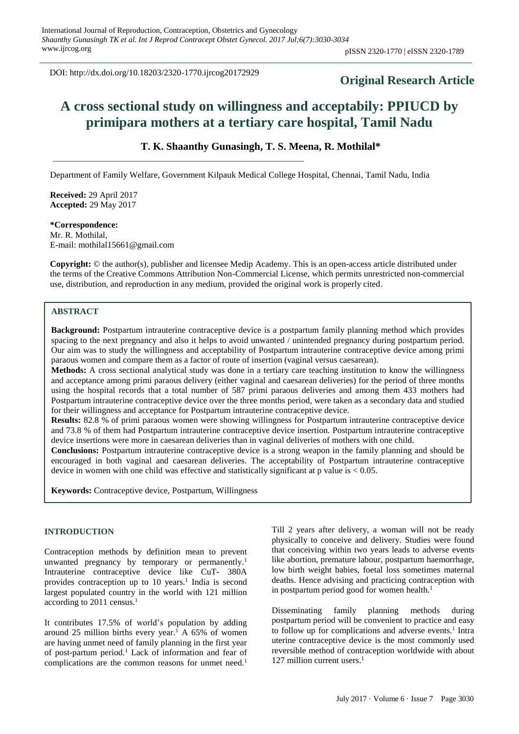DOI: http://dx.doi.org/10.18203/2320-1770.ijrcog20172929

# **Original Research Article**

# **A cross sectional study on willingness and acceptabily: PPIUCD by primipara mothers at a tertiary care hospital, Tamil Nadu**

# **T. K. Shaanthy Gunasingh, T. S. Meena, R. Mothilal\***

Department of Family Welfare, Government Kilpauk Medical College Hospital, Chennai, Tamil Nadu, India

**Received:** 29 April 2017 **Accepted:** 29 May 2017

#### **\*Correspondence:** Mr. R. Mothilal, E-mail: mothilal15661@gmail.com

**Copyright:** © the author(s), publisher and licensee Medip Academy. This is an open-access article distributed under the terms of the Creative Commons Attribution Non-Commercial License, which permits unrestricted non-commercial use, distribution, and reproduction in any medium, provided the original work is properly cited.

# **ABSTRACT**

**Background:** Postpartum intrauterine contraceptive device is a postpartum family planning method which provides spacing to the next pregnancy and also it helps to avoid unwanted / unintended pregnancy during postpartum period. Our aim was to study the willingness and acceptability of Postpartum intrauterine contraceptive device among primi paraous women and compare them as a factor of route of insertion (vaginal versus caesarean).

**Methods:** A cross sectional analytical study was done in a tertiary care teaching institution to know the willingness and acceptance among primi paraous delivery (either vaginal and caesarean deliveries) for the period of three months using the hospital records that a total number of 587 primi paraous deliveries and among them 433 mothers had Postpartum intrauterine contraceptive device over the three months period, were taken as a secondary data and studied for their willingness and acceptance for Postpartum intrauterine contraceptive device.

**Results:** 82.8 % of primi paraous women were showing willingness for Postpartum intrauterine contraceptive device and 73.8 % of them had Postpartum intrauterine contraceptive device insertion. Postpartum intrauterine contraceptive device insertions were more in caesarean deliveries than in vaginal deliveries of mothers with one child.

**Conclusions:** Postpartum intrauterine contraceptive device is a strong weapon in the family planning and should be encouraged in both vaginal and caesarean deliveries. The acceptability of Postpartum intrauterine contraceptive device in women with one child was effective and statistically significant at p value is < 0.05.

**Keywords:** Contraceptive device, Postpartum, Willingness

# **INTRODUCTION**

Contraception methods by definition mean to prevent unwanted pregnancy by temporary or permanently.<sup>1</sup> Intrauterine contraceptive device like CuT- 380A provides contraception up to 10 years.<sup>1</sup> India is second largest populated country in the world with 121 million according to 2011 census. 1

It contributes 17.5% of world's population by adding around 25 million births every year.<sup>1</sup> A  $65\%$  of women are having unmet need of family planning in the first year of post-partum period.<sup>1</sup> Lack of information and fear of complications are the common reasons for unmet need. 1

Till 2 years after delivery, a woman will not be ready physically to conceive and delivery. Studies were found that conceiving within two years leads to adverse events like abortion, premature labour, postpartum haemorrhage, low birth weight babies, foetal loss sometimes maternal deaths. Hence advising and practicing contraception with in postpartum period good for women health.<sup>1</sup>

Disseminating family planning methods during postpartum period will be convenient to practice and easy to follow up for complications and adverse events. 1 Intra uterine contraceptive device is the most commonly used reversible method of contraception worldwide with about 127 million current users. 1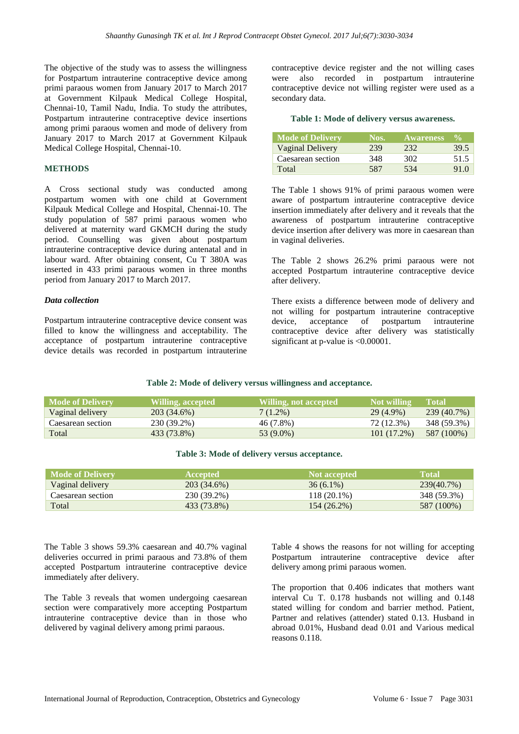The objective of the study was to assess the willingness for Postpartum intrauterine contraceptive device among primi paraous women from January 2017 to March 2017 at Government Kilpauk Medical College Hospital, Chennai-10, Tamil Nadu, India. To study the attributes, Postpartum intrauterine contraceptive device insertions among primi paraous women and mode of delivery from January 2017 to March 2017 at Government Kilpauk Medical College Hospital, Chennai-10.

# **METHODS**

A Cross sectional study was conducted among postpartum women with one child at Government Kilpauk Medical College and Hospital, Chennai-10. The study population of 587 primi paraous women who delivered at maternity ward GKMCH during the study period. Counselling was given about postpartum intrauterine contraceptive device during antenatal and in labour ward. After obtaining consent, Cu T 380A was inserted in 433 primi paraous women in three months period from January 2017 to March 2017.

#### *Data collection*

Postpartum intrauterine contraceptive device consent was filled to know the willingness and acceptability. The acceptance of postpartum intrauterine contraceptive device details was recorded in postpartum intrauterine contraceptive device register and the not willing cases were also recorded in postpartum intrauterine contraceptive device not willing register were used as a secondary data.

#### **Table 1: Mode of delivery versus awareness.**

| Mode of Delivery  | Nos. | <b>Awareness</b> | $\frac{0}{\pi}$ |
|-------------------|------|------------------|-----------------|
| Vaginal Delivery  | 239  | 232              | 39.5            |
| Caesarean section | 348  | 302              | 51.5            |
| Total             | 587  | 534              | 91.0            |

The Table 1 shows 91% of primi paraous women were aware of postpartum intrauterine contraceptive device insertion immediately after delivery and it reveals that the awareness of postpartum intrauterine contraceptive device insertion after delivery was more in caesarean than in vaginal deliveries.

The Table 2 shows 26.2% primi paraous were not accepted Postpartum intrauterine contraceptive device after delivery.

There exists a difference between mode of delivery and not willing for postpartum intrauterine contraceptive device, acceptance of postpartum intrauterine contraceptive device after delivery was statistically significant at p-value is <0.00001.

#### **Table 2: Mode of delivery versus willingness and acceptance.**

| <b>Mode of Delivery</b> | Willing, accepted , | Willing, not accepted | Not willing | <b>Total</b> |
|-------------------------|---------------------|-----------------------|-------------|--------------|
| Vaginal delivery        | 203 (34.6%)         | $7(1.2\%)$            | $29(4.9\%)$ | 239 (40.7%)  |
| Caesarean section       | 230 (39.2%)         | 46 (7.8%)             | 72 (12.3%)  | 348 (59.3%)  |
| Total                   | 433 (73.8%)         | 53 (9.0%)             | 101(17.2%)  | 587 (100%)   |

#### **Table 3: Mode of delivery versus acceptance.**

| Mode of Delivery  | <b>Accepted</b> | <b>Not accepted</b> | <b>Total</b> |
|-------------------|-----------------|---------------------|--------------|
| Vaginal delivery  | 203 (34.6%)     | $36(6.1\%)$         | 239(40.7%)   |
| Caesarean section | 230 (39.2%)     | $118(20.1\%)$       | 348 (59.3%)  |
| Total             | 433 (73.8%)     | 154 (26.2%)         | 587 (100%)   |

The Table 3 shows 59.3% caesarean and 40.7% vaginal deliveries occurred in primi paraous and 73.8% of them accepted Postpartum intrauterine contraceptive device immediately after delivery.

The Table 3 reveals that women undergoing caesarean section were comparatively more accepting Postpartum intrauterine contraceptive device than in those who delivered by vaginal delivery among primi paraous.

Table 4 shows the reasons for not willing for accepting Postpartum intrauterine contraceptive device after delivery among primi paraous women.

The proportion that 0.406 indicates that mothers want interval Cu T. 0.178 husbands not willing and 0.148 stated willing for condom and barrier method. Patient, Partner and relatives (attender) stated 0.13. Husband in abroad 0.01%, Husband dead 0.01 and Various medical reasons 0.118.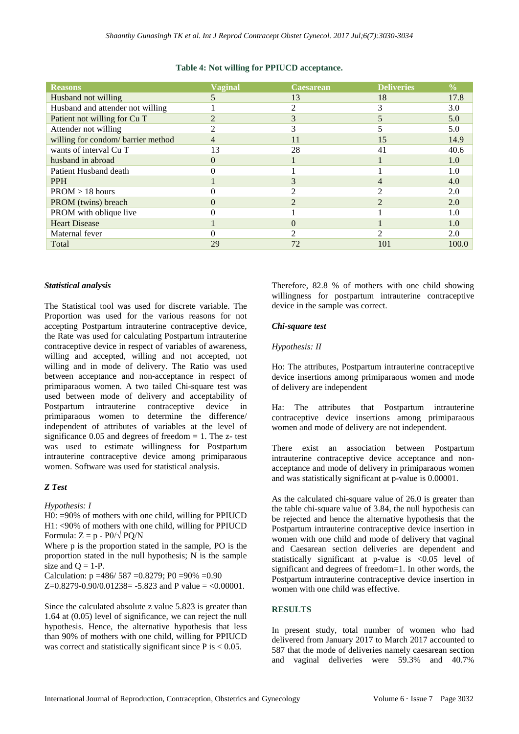# **Table 4: Not willing for PPIUCD acceptance.**

| <b>Reasons</b>                    | <b>Vaginal</b> | Caesarean | <b>Deliveries</b> | $\frac{0}{0}$ |
|-----------------------------------|----------------|-----------|-------------------|---------------|
| Husband not willing               |                | 13        | 18                | 17.8          |
| Husband and attender not willing  |                |           | 3                 | 3.0           |
| Patient not willing for Cu T      |                |           |                   | 5.0           |
| Attender not willing              |                |           |                   | 5.0           |
| willing for condom/barrier method |                | 11        | 15                | 14.9          |
| wants of interval Cu T            | 13             | 28        | 41                | 40.6          |
| husband in abroad                 |                |           |                   | 1.0           |
| Patient Husband death             |                |           |                   | 1.0           |
| <b>PPH</b>                        |                |           | $\overline{4}$    | 4.0           |
| $PROM > 18$ hours                 |                |           |                   | 2.0           |
| PROM (twins) breach               |                |           | $\mathcal{D}$     | 2.0           |
| PROM with oblique live            |                |           |                   | 1.0           |
| <b>Heart Disease</b>              |                |           |                   | 1.0           |
| Maternal fever                    |                |           |                   | 2.0           |
| Total                             | 29             | 72        | 101               | 100.0         |

# *Statistical analysis*

The Statistical tool was used for discrete variable. The Proportion was used for the various reasons for not accepting Postpartum intrauterine contraceptive device, the Rate was used for calculating Postpartum intrauterine contraceptive device in respect of variables of awareness, willing and accepted, willing and not accepted, not willing and in mode of delivery. The Ratio was used between acceptance and non-acceptance in respect of primiparaous women. A two tailed Chi-square test was used between mode of delivery and acceptability of Postpartum intrauterine contraceptive device in primiparaous women to determine the difference/ independent of attributes of variables at the level of significance  $0.05$  and degrees of freedom = 1. The z- test was used to estimate willingness for Postpartum intrauterine contraceptive device among primiparaous women. Software was used for statistical analysis.

# *Z Test*

# *Hypothesis: I*

H0: =90% of mothers with one child, willing for PPIUCD H1: <90% of mothers with one child, willing for PPIUCD Formula:  $Z = p - P0/\sqrt{PQ/N}$ 

Where p is the proportion stated in the sample, PO is the proportion stated in the null hypothesis; N is the sample size and  $Q = 1-P$ .

Calculation:  $p = 486/587 = 0.8279$ ; P0 = 90% = 0.90 Z= $0.8279 - 0.90/0.01238 = -5.823$  and P value = <0.00001.

Since the calculated absolute z value 5.823 is greater than 1.64 at (0.05) level of significance, we can reject the null hypothesis. Hence, the alternative hypothesis that less than 90% of mothers with one child, willing for PPIUCD was correct and statistically significant since  $P$  is  $< 0.05$ .

Therefore, 82.8 % of mothers with one child showing willingness for postpartum intrauterine contraceptive device in the sample was correct.

# *Chi-square test*

# *Hypothesis: II*

Ho: The attributes, Postpartum intrauterine contraceptive device insertions among primiparaous women and mode of delivery are independent

Ha: The attributes that Postpartum intrauterine contraceptive device insertions among primiparaous women and mode of delivery are not independent.

There exist an association between Postpartum intrauterine contraceptive device acceptance and nonacceptance and mode of delivery in primiparaous women and was statistically significant at p-value is 0.00001.

As the calculated chi-square value of 26.0 is greater than the table chi-square value of 3.84, the null hypothesis can be rejected and hence the alternative hypothesis that the Postpartum intrauterine contraceptive device insertion in women with one child and mode of delivery that vaginal and Caesarean section deliveries are dependent and statistically significant at p-value is <0.05 level of significant and degrees of freedom=1. In other words, the Postpartum intrauterine contraceptive device insertion in women with one child was effective.

# **RESULTS**

In present study, total number of women who had delivered from January 2017 to March 2017 accounted to 587 that the mode of deliveries namely caesarean section and vaginal deliveries were 59.3% and 40.7%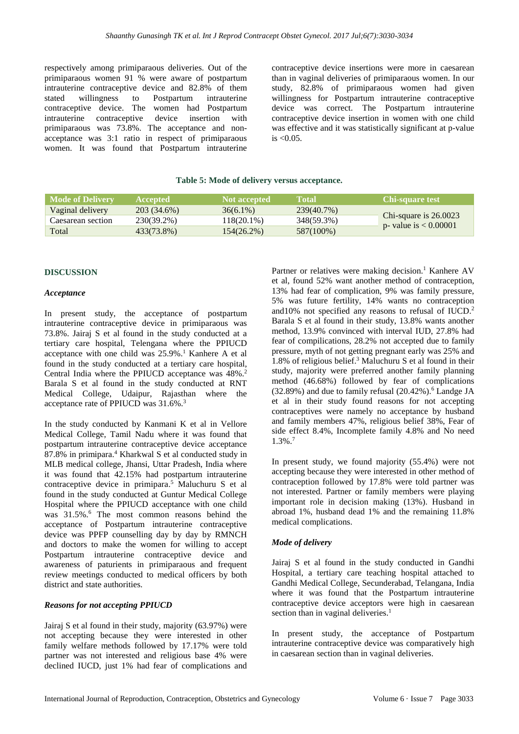respectively among primiparaous deliveries. Out of the primiparaous women 91 % were aware of postpartum intrauterine contraceptive device and 82.8% of them stated willingness to Postpartum intrauterine contraceptive device. The women had Postpartum intrauterine contraceptive device insertion with primiparaous was 73.8%. The acceptance and nonacceptance was 3:1 ratio in respect of primiparaous women. It was found that Postpartum intrauterine contraceptive device insertions were more in caesarean than in vaginal deliveries of primiparaous women. In our study, 82.8% of primiparaous women had given willingness for Postpartum intrauterine contraceptive device was correct. The Postpartum intrauterine contraceptive device insertion in women with one child was effective and it was statistically significant at p-value  $is < 0.05$ .

# **Table 5: Mode of delivery versus acceptance.**

| <b>Mode of Delivery</b> | <b>Accepted</b> | Not accepted  | <b>Notal</b> | <b>Chi-square test</b>  |
|-------------------------|-----------------|---------------|--------------|-------------------------|
| Vaginal delivery        | 203 (34.6%)     | $36(6.1\%)$   | 239(40.7%)   |                         |
| Caesarean section       | 230(39.2%)      | $118(20.1\%)$ | 348(59.3%)   | Chi-square is $26.0023$ |
| Total                   | 433(73.8%)      | $154(26.2\%)$ | 587(100%)    | p- value is $< 0.00001$ |

# **DISCUSSION**

#### *Acceptance*

In present study, the acceptance of postpartum intrauterine contraceptive device in primiparaous was 73.8%. Jairaj S et al found in the study conducted at a tertiary care hospital, Telengana where the PPIUCD acceptance with one child was 25.9%. <sup>1</sup> Kanhere A et al found in the study conducted at a tertiary care hospital, Central India where the PPIUCD acceptance was 48%.<sup>2</sup> Barala S et al found in the study conducted at RNT Medical College, Udaipur, Rajasthan where the acceptance rate of PPIUCD was 31.6%. 3

In the study conducted by Kanmani K et al in Vellore Medical College, Tamil Nadu where it was found that postpartum intrauterine contraceptive device acceptance 87.8% in primipara. <sup>4</sup> Kharkwal S et al conducted study in MLB medical college, Jhansi, Uttar Pradesh, India where it was found that 42.15% had postpartum intrauterine contraceptive device in primipara. <sup>5</sup> Maluchuru S et al found in the study conducted at Guntur Medical College Hospital where the PPIUCD acceptance with one child was 31.5%.<sup>6</sup> The most common reasons behind the acceptance of Postpartum intrauterine contraceptive device was PPFP counselling day by day by RMNCH and doctors to make the women for willing to accept Postpartum intrauterine contraceptive device and awareness of paturients in primiparaous and frequent review meetings conducted to medical officers by both district and state authorities.

## *Reasons for not accepting PPIUCD*

Jairaj S et al found in their study, majority (63.97%) were not accepting because they were interested in other family welfare methods followed by 17.17% were told partner was not interested and religious base 4% were declined IUCD, just 1% had fear of complications and Partner or relatives were making decision.<sup>1</sup> Kanhere AV et al, found 52% want another method of contraception, 13% had fear of complication, 9% was family pressure, 5% was future fertility, 14% wants no contraception and10% not specified any reasons to refusal of IUCD. 2 Barala S et al found in their study, 13.8% wants another method, 13.9% convinced with interval IUD, 27.8% had fear of compilications, 28.2% not accepted due to family pressure, myth of not getting pregnant early was 25% and 1.8% of religious belief. <sup>3</sup> Maluchuru S et al found in their study, majority were preferred another family planning method (46.68%) followed by fear of complications (32.89%) and due to family refusal (20.42%). <sup>6</sup> Landge JA et al in their study found reasons for not accepting contraceptives were namely no acceptance by husband and family members 47%, religious belief 38%, Fear of side effect 8.4%, Incomplete family 4.8% and No need 1.3%. 7

In present study, we found majority (55.4%) were not accepting because they were interested in other method of contraception followed by 17.8% were told partner was not interested. Partner or family members were playing important role in decision making (13%). Husband in abroad 1%, husband dead 1% and the remaining 11.8% medical complications.

#### *Mode of delivery*

Jairaj S et al found in the study conducted in Gandhi Hospital, a tertiary care teaching hospital attached to Gandhi Medical College, Secunderabad, Telangana, India where it was found that the Postpartum intrauterine contraceptive device acceptors were high in caesarean section than in vaginal deliveries. $<sup>1</sup>$ </sup>

In present study, the acceptance of Postpartum intrauterine contraceptive device was comparatively high in caesarean section than in vaginal deliveries.